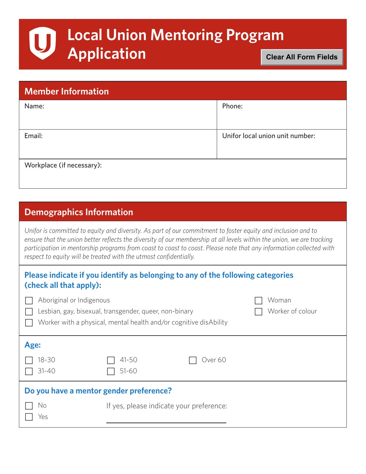# **Local Union Mentoring Program**  U **Application**

**Clear All Form Fields**

| <b>Member Information</b> |                                 |  |  |  |
|---------------------------|---------------------------------|--|--|--|
| Name:                     | Phone:                          |  |  |  |
|                           |                                 |  |  |  |
| Email:                    | Unifor local union unit number: |  |  |  |
|                           |                                 |  |  |  |
| Workplace (if necessary): |                                 |  |  |  |
|                           |                                 |  |  |  |

### **Demographics Information**

*Unifor is committed to equity and diversity. As part of our commitment to foster equity and inclusion and to*  ensure that the union better reflects the diversity of our membership at all levels within the union, we are tracking *participation in mentorship programs from coast to coast to coast. Please note that any information collected with respect to equity will be treated with the utmost confidentially.*

#### **Please indicate if you identify as belonging to any of the following categories (check all that apply):**

| Aboriginal or Indigenous<br>Lesbian, gay, bisexual, transgender, queer, non-binary<br>Worker with a physical, mental health and/or cognitive disAbility |                                          |                    | Woman<br>Worker of colour |
|---------------------------------------------------------------------------------------------------------------------------------------------------------|------------------------------------------|--------------------|---------------------------|
| Age:<br>$18 - 30$<br>$31 - 40$                                                                                                                          | $41 - 50$<br>$51 - 60$                   | Over <sub>60</sub> |                           |
| Do you have a mentor gender preference?<br>No<br>Yes                                                                                                    | If yes, please indicate your preference: |                    |                           |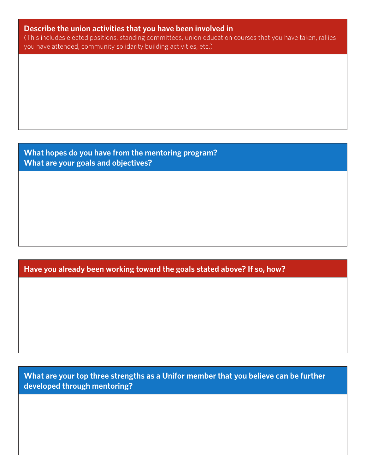#### **Describe the union activities that you have been involved in**

(This includes elected positions, standing committees, union education courses that you have taken, rallies you have attended, community solidarity building activities, etc.)

**What hopes do you have from the mentoring program? What are your goals and objectives?**

**Have you already been working toward the goals stated above? If so, how?**

**What are your top three strengths as a Unifor member that you believe can be further developed through mentoring?**